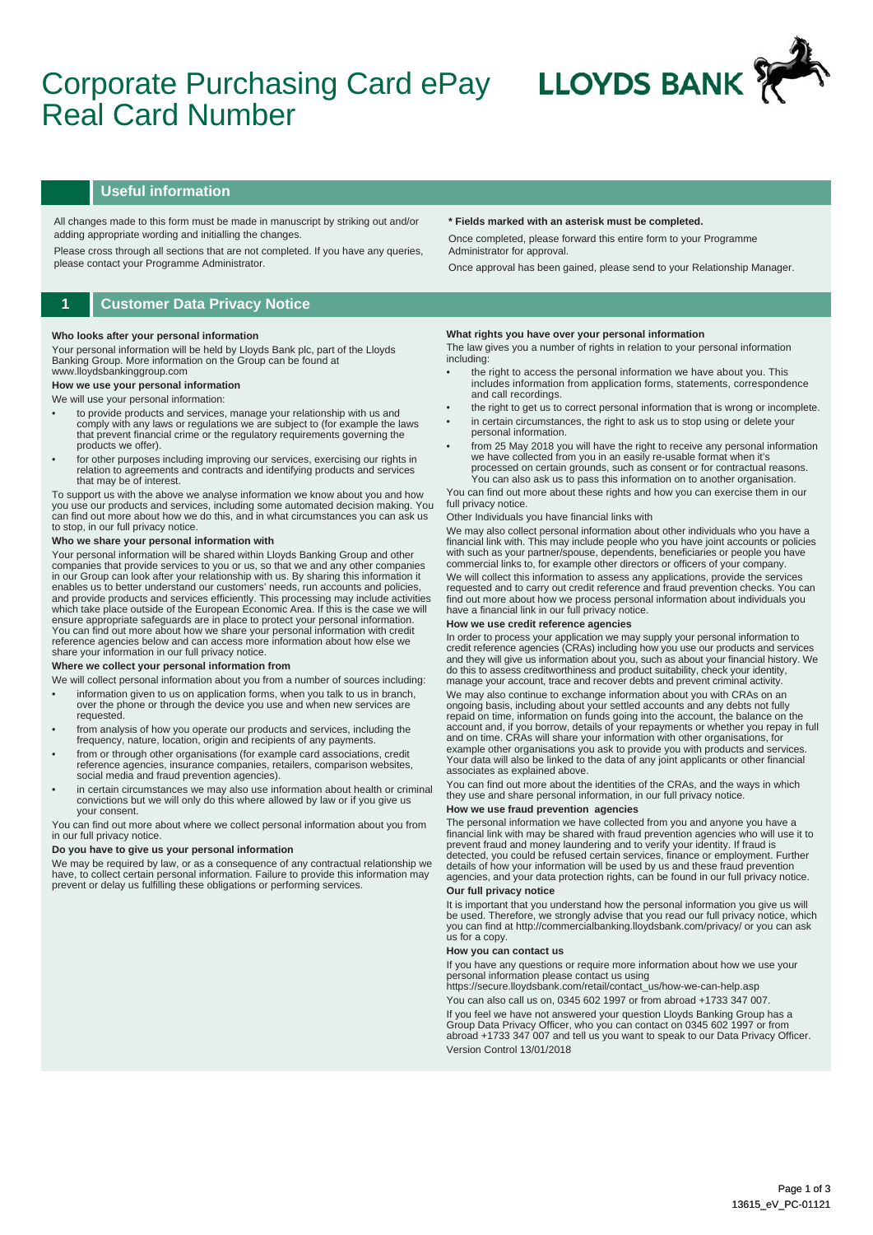# Corporate Purchasing Card ePay Real Card Number



## **Useful information**

All changes made to this form must be made in manuscript by striking out and/or adding appropriate wording and initialling the changes.

Please cross through all sections that are not completed. If you have any queries, please contact your Programme Administrator.

## **1 Customer Data Privacy Notice**

#### **Who looks after your personal information**

Your personal information will be held by Lloyds Bank plc, part of the Lloyds Banking Group. More information on the Group can be found at www.lloydsbankinggroup.com

## **How we use your personal information**

## We will use your personal information:

- to provide products and services, manage your relationship with us and comply with any laws or regulations we are subject to (for example the laws that prevent financial crime or the regulatory requirements governing the products we offer).
- for other purposes including improving our services, exercising our rights in relation to agreements and contracts and identifying products and services that may be of interest.

To support us with the above we analyse information we know about you and how you use our products and services, including some automated decision making. You can find out more about how we do this, and in what circumstances you can ask us to stop, in our full privacy notice.

#### **Who we share your personal information with**

Your personal information will be shared within Lloyds Banking Group and other companies that provide services to you or us, so that we and any other companies<br>in our Group can look after your relationship with us. By sharing this information it<br>enables us to better understand our customers' needs, r which take place outside of the European Economic Area. If this is the case we will ensure appropriate safeguards are in place to protect your personal information.<br>You can find out more about how we share your personal information with credit<br>reference agencies below and can access more information about share your information in our full privacy notice.

#### **Where we collect your personal information from**

- We will collect personal information about you from a number of sources including: • information given to us on application forms, when you talk to us in branch, over the phone or through the device you use and when new services are requested.
- from analysis of how you operate our products and services, including the frequency, nature, location, origin and recipients of any payments.
- from or through other organisations (for example card associations, credit reference agencies, insurance companies, retailers, comparison websites, social media and fraud prevention agencies).
- in certain circumstances we may also use information about health or criminal convictions but we will only do this where allowed by law or if you give us your consent.

You can find out more about where we collect personal information about you from in our full privacy notice.

#### **Do you have to give us your personal information**

We may be required by law, or as a consequence of any contractual relationship we have, to collect certain personal information. Failure to provide this information may prevent or delay us fulfilling these obligations or performing services.

#### **\* Fields marked with an asterisk must be completed.**

Once completed, please forward this entire form to your Programme Administrator for approval.

Once approval has been gained, please send to your Relationship Manager.

#### **What rights you have over your personal information**

The law gives you a number of rights in relation to your personal information including:

- the right to access the personal information we have about you. This includes information from application forms, statements, correspondence and call recordings.
- the right to get us to correct personal information that is wrong or incomplete. in certain circumstances, the right to ask us to stop using or delete your
- personal information.
- from 25 May 2018 you will have the right to receive any personal information we have collected from you in an easily re-usable format when it's processed on certain grounds, such as consent or for contractual reasons. You can also ask us to pass this information on to another organisation.

You can find out more about these rights and how you can exercise them in our full privacy notice

#### Other Individuals you have financial links with

We may also collect personal information about other individuals who you have a financial link with. This may include people who you have joint accounts or policies with such as your partner/spouse, dependents, beneficiaries or people you have commercial links to, for example other directors or officers of your company.

We will collect this information to assess any applications, provide the services requested and to carry out credit reference and fraud prevention checks. You can find out more about how we process personal information about individuals you have a financial link in our full privacy notice.

#### **How we use credit reference agencies**

In order to process your application we may supply your personal information to credit reference agencies (CRAs) including how you use our products and services and they will give us information about you, such as about your financial history. We do this to assess creditworthiness and product suitability, check your identity, manage your account, trace and recover debts and prevent criminal activity.

We may also continue to exchange information about you with CRAs on an ongoing basis, including about your settled accounts and any debts not fully repaid on time, information on funds going into the account, the balance on the account and, if you borrow, details of your repayments or whether you repay in full<br>and on time. CRAs will share your information with other organisations, for<br>example other organisations you ask to provide you with produc Your data will also be linked to the data of any joint applicants or other financial associates as explained above.

You can find out more about the identities of the CRAs, and the ways in which they use and share personal information, in our full privacy notice.

### **How we use fraud prevention agencies**

The personal information we have collected from you and anyone you have a<br>financial link with may be shared with fraud prevention agencies who will use it to<br>prevent fraud and money laundering and to verify your identity. detected, you could be refused certain services, finance or employment. Further details of how your information will be used by us and these fraud prevention agencies, and your data protection rights, can be found in our full privacy notice.

## **Our full privacy notice**

It is important that you understand how the personal information you give us will be used. Therefore, we strongly advise that you read our full privacy notice, which you can find at http://commercialbanking.lloydsbank.com/privacy/ or you can ask us for a copy.

#### **How you can contact us**

If you have any questions or require more information about how we use your personal information please contact us using

https://secure.lloydsbank.com/retail/contact\_us/how-we-can-help.asp You can also call us on, 0345 602 1997 or from abroad +1733 347 007. If you feel we have not answered your question Lloyds Banking Group has a Group Data Privacy Officer, who you can contact on 0345 602 1997 or from abroad +1733 347 007 and tell us you want to speak to our Data Privacy Officer. Version Control 13/01/2018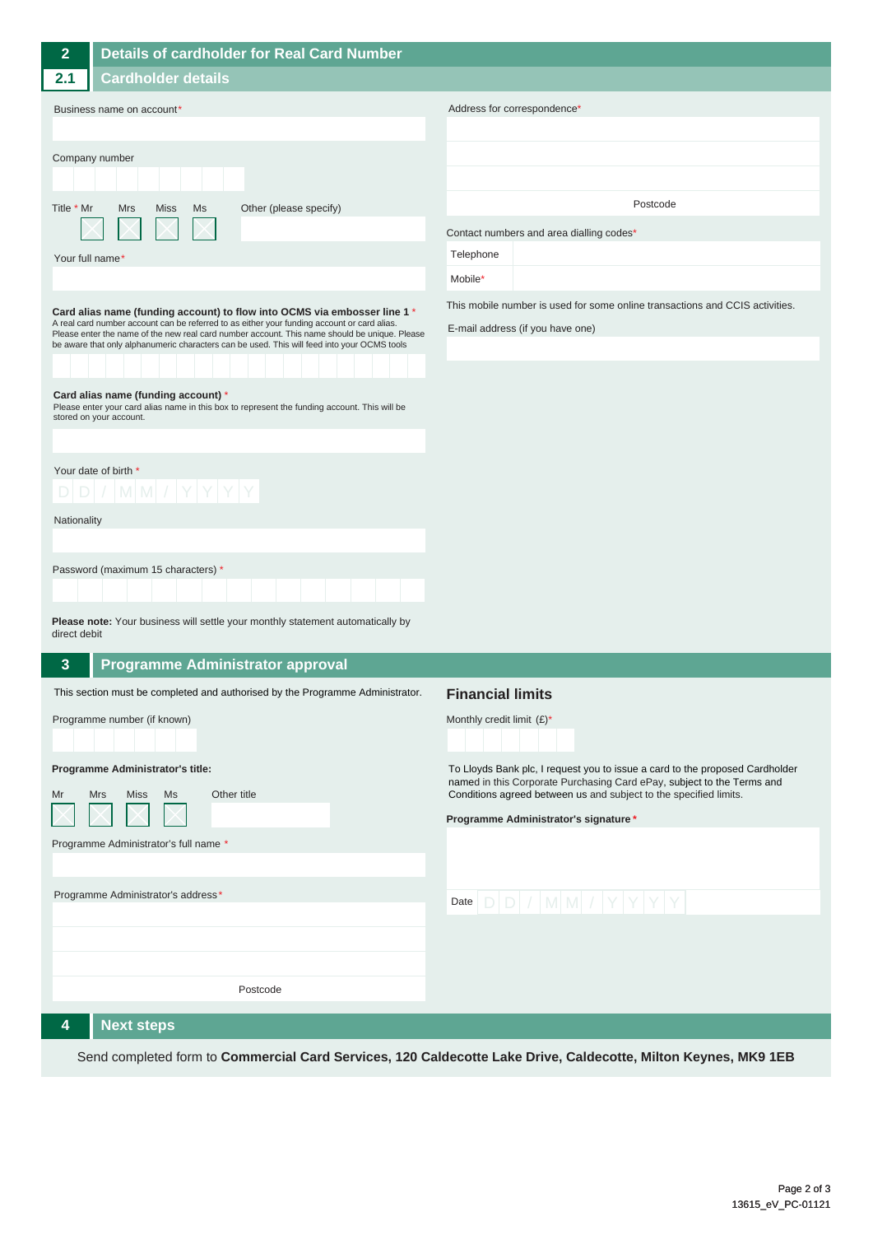| $\overline{2}$                                                                                                                                                                                                                                                                              | <b>Details of cardholder for Real Card Number</b>                                                                                                              |                                                                                                                                                                                                                             |
|---------------------------------------------------------------------------------------------------------------------------------------------------------------------------------------------------------------------------------------------------------------------------------------------|----------------------------------------------------------------------------------------------------------------------------------------------------------------|-----------------------------------------------------------------------------------------------------------------------------------------------------------------------------------------------------------------------------|
| 2.1                                                                                                                                                                                                                                                                                         | <b>Cardholder details</b>                                                                                                                                      |                                                                                                                                                                                                                             |
| Business name on account*                                                                                                                                                                                                                                                                   |                                                                                                                                                                | Address for correspondence*                                                                                                                                                                                                 |
| Company number                                                                                                                                                                                                                                                                              |                                                                                                                                                                |                                                                                                                                                                                                                             |
| Title * Mr                                                                                                                                                                                                                                                                                  | Other (please specify)<br>Mrs<br>Miss<br>Ms                                                                                                                    | Postcode                                                                                                                                                                                                                    |
|                                                                                                                                                                                                                                                                                             |                                                                                                                                                                | Contact numbers and area dialling codes*                                                                                                                                                                                    |
| Your full name*                                                                                                                                                                                                                                                                             |                                                                                                                                                                | Telephone<br>Mobile*                                                                                                                                                                                                        |
|                                                                                                                                                                                                                                                                                             | Card alias name (funding account) to flow into OCMS via embosser line 1 *                                                                                      | This mobile number is used for some online transactions and CCIS activities.                                                                                                                                                |
| A real card number account can be referred to as either your funding account or card alias.<br>Please enter the name of the new real card number account. This name should be unique. Please<br>be aware that only alphanumeric characters can be used. This will feed into your OCMS tools |                                                                                                                                                                | E-mail address (if you have one)                                                                                                                                                                                            |
|                                                                                                                                                                                                                                                                                             |                                                                                                                                                                |                                                                                                                                                                                                                             |
|                                                                                                                                                                                                                                                                                             | Card alias name (funding account) *<br>Please enter your card alias name in this box to represent the funding account. This will be<br>stored on your account. |                                                                                                                                                                                                                             |
|                                                                                                                                                                                                                                                                                             |                                                                                                                                                                |                                                                                                                                                                                                                             |
| Your date of birth *<br>$D D  /  M M  /  Y Y Y Y$                                                                                                                                                                                                                                           |                                                                                                                                                                |                                                                                                                                                                                                                             |
| Nationality                                                                                                                                                                                                                                                                                 |                                                                                                                                                                |                                                                                                                                                                                                                             |
|                                                                                                                                                                                                                                                                                             |                                                                                                                                                                |                                                                                                                                                                                                                             |
|                                                                                                                                                                                                                                                                                             | Password (maximum 15 characters) *                                                                                                                             |                                                                                                                                                                                                                             |
| Please note: Your business will settle your monthly statement automatically by<br>direct debit                                                                                                                                                                                              |                                                                                                                                                                |                                                                                                                                                                                                                             |
| 3<br><b>Programme Administrator approval</b>                                                                                                                                                                                                                                                |                                                                                                                                                                |                                                                                                                                                                                                                             |
|                                                                                                                                                                                                                                                                                             | This section must be completed and authorised by the Programme Administrator.                                                                                  | <b>Financial limits</b>                                                                                                                                                                                                     |
|                                                                                                                                                                                                                                                                                             | Programme number (if known)                                                                                                                                    | Monthly credit limit $(E)^*$                                                                                                                                                                                                |
| Programme Administrator's title:<br>Other title<br>Mrs<br>Miss<br>Ms<br>Mr                                                                                                                                                                                                                  |                                                                                                                                                                | To Lloyds Bank plc, I request you to issue a card to the proposed Cardholder<br>named in this Corporate Purchasing Card ePay, subject to the Terms and<br>Conditions agreed between us and subject to the specified limits. |
|                                                                                                                                                                                                                                                                                             |                                                                                                                                                                | Programme Administrator's signature *                                                                                                                                                                                       |
| Programme Administrator's full name *                                                                                                                                                                                                                                                       |                                                                                                                                                                |                                                                                                                                                                                                                             |
|                                                                                                                                                                                                                                                                                             | Programme Administrator's address*                                                                                                                             | Date $D D  /  M M  /  Y Y Y $                                                                                                                                                                                               |
|                                                                                                                                                                                                                                                                                             |                                                                                                                                                                |                                                                                                                                                                                                                             |
|                                                                                                                                                                                                                                                                                             |                                                                                                                                                                |                                                                                                                                                                                                                             |
|                                                                                                                                                                                                                                                                                             | Postcode                                                                                                                                                       |                                                                                                                                                                                                                             |
| 4                                                                                                                                                                                                                                                                                           | <b>Next steps</b>                                                                                                                                              |                                                                                                                                                                                                                             |

Send completed form to **Commercial Card Services, 120 Caldecotte Lake Drive, Caldecotte, Milton Keynes, MK9 1EB**